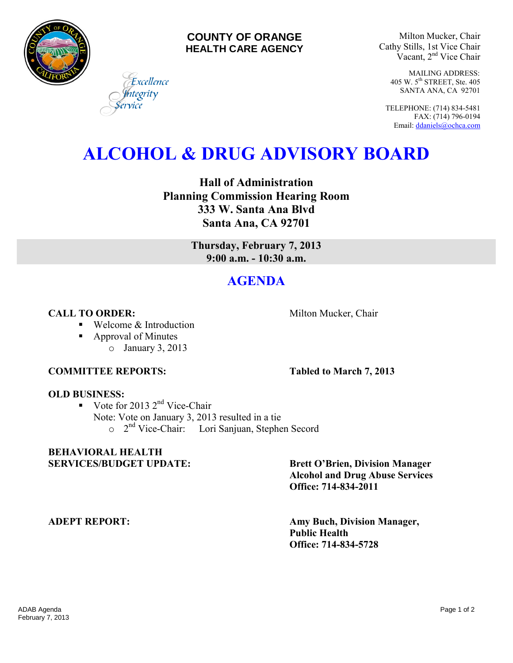

#### **COUNTY OF ORANGE HEALTH CARE AGENCY**

Milton Mucker, Chair Cathy Stills, 1st Vice Chair Vacant, 2nd Vice Chair

> MAILING ADDRESS: 405 W. 5th STREET, Ste. 405 SANTA ANA, CA 92701

TELEPHONE: (714) 834-5481 FAX: (714) 796-0194 Email[: ddaniels@ochca.com](mailto:ddaniels@ochca.com)

# **ALCOHOL & DRUG ADVISORY BOARD**

**Hall of Administration Planning Commission Hearing Room 333 W. Santa Ana Blvd Santa Ana, CA 92701** 

> **Thursday, February 7, 2013 9:00 a.m. - 10:30 a.m.**

## **AGENDA**

**CALL TO ORDER:** Milton Mucker, Chair

■ Welcome & Introduction

Excellence egrity

■ Approval of Minutes o January 3, 2013

#### **COMMITTEE REPORTS: Tabled to March 7, 2013**

### **OLD BUSINESS:**

Vote for 2013  $2<sup>nd</sup>$  Vice-Chair Note: Vote on January 3, 2013 resulted in a tie o 2<sup>nd</sup> Vice-Chair: Lori Sanjuan, Stephen Secord

### **BEHAVIORAL HEALTH**  SERVICES/BUDGET UPDATE: Brett O'Brien, Division Manager

 **Alcohol and Drug Abuse Services Office: 714-834-2011** 

**ADEPT REPORT: Amy Buch, Division Manager, Public Health Office: 714-834-5728**